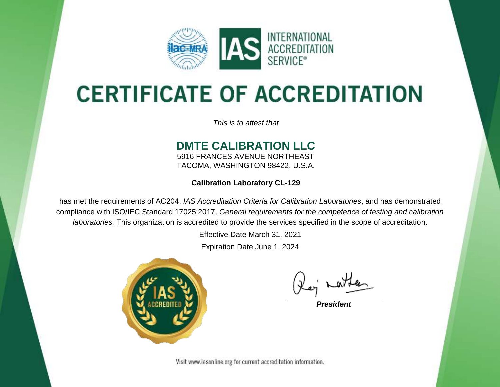

# **CERTIFICATE OF ACCREDITATION**

*This is to attest that*

### **DMTE CALIBRATION LLC**

5916 FRANCES AVENUE NORTHEAST TACOMA, WASHINGTON 98422, U.S.A.

**Calibration Laboratory CL-129**

has met the requirements of AC204, *IAS Accreditation Criteria for Calibration Laboratories*, and has demonstrated compliance with ISO/IEC Standard 17025:2017, *General requirements for the competence of testing and calibration laboratories.* This organization is accredited to provide the services specified in the scope of accreditation.

Effective Date March 31, 2021

Expiration Date June 1, 2024



*President*

Visit www.iasonline.org for current accreditation information.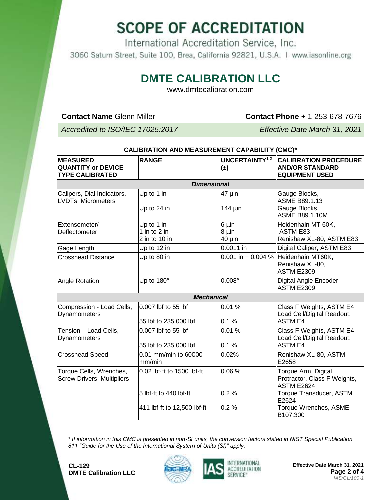## **SCOPE OF ACCREDITATION**

International Accreditation Service, Inc. 3060 Saturn Street, Suite 100, Brea, California 92821, U.S.A. | www.iasonline.org

### **DMTE CALIBRATION LLC**

www.dmtecalibration.com

**Contact Name** Glenn Miller **Contact Phone** + 1-253-678-7676

*Accredited to ISO/IEC 17025:2017 Effective Date March 31, 2021*

| <b>MEASURED</b><br><b>QUANTITY or DEVICE</b><br><b>TYPE CALIBRATED</b> | <b>RANGE</b>                                          | <b>UNCERTAINTY1,2</b><br>$(\pm)$ | <b>CALIBRATION PROCEDURE</b><br><b>AND/OR STANDARD</b><br><b>EQUIPMENT USED</b> |  |  |
|------------------------------------------------------------------------|-------------------------------------------------------|----------------------------------|---------------------------------------------------------------------------------|--|--|
| <b>Dimensional</b>                                                     |                                                       |                                  |                                                                                 |  |  |
| Calipers, Dial Indicators,<br>LVDTs, Micrometers                       | Up to 1 in<br>Up to 24 in                             | 47 µin<br>144 µin                | Gauge Blocks,<br><b>ASME B89.1.13</b><br>Gauge Blocks,<br><b>ASME B89.1.10M</b> |  |  |
| Extensometer/<br>Deflectometer                                         | Up to 1 in<br>1 in to 2 in<br>$2$ in to 10 in         | 6 µin<br>8 µin<br>40 µin         | Heidenhain MT 60K,<br><b>ASTM E83</b><br>Renishaw XL-80, ASTM E83               |  |  |
| Gage Length                                                            | Up to 12 in                                           | 0.0011 in                        | Digital Caliper, ASTM E83                                                       |  |  |
| <b>Crosshead Distance</b>                                              | Up to 80 in                                           | 0.001 in + 0.004 $%$             | Heidenhain MT60K,<br>Renishaw XL-80,<br><b>ASTM E2309</b>                       |  |  |
| Angle Rotation                                                         | Up to 180°                                            | $0.008^\circ$                    | Digital Angle Encoder,<br><b>ASTM E2309</b>                                     |  |  |
| <b>Mechanical</b>                                                      |                                                       |                                  |                                                                                 |  |  |
| Compression - Load Cells,<br>Dynamometers                              | 0.007 lbf to 55 lbf<br>55 lbf to 235,000 lbf          | 0.01%<br>0.1%                    | Class F Weights, ASTM E4<br>Load Cell/Digital Readout,<br><b>ASTM E4</b>        |  |  |
| Tension - Load Cells,<br>Dynamometers                                  | 0.007 lbf to 55 lbf<br>55 lbf to 235,000 lbf          | 0.01%<br>0.1%                    | Class F Weights, ASTM E4<br>Load Cell/Digital Readout,<br><b>ASTM E4</b>        |  |  |
| <b>Crosshead Speed</b>                                                 | 0.01 mm/min to 60000<br>mm/min                        | 0.02%                            | Renishaw XL-80, ASTM<br>E2658                                                   |  |  |
| Torque Cells, Wrenches,<br><b>Screw Drivers, Multipliers</b>           | 0.02 lbf-ft to 1500 lbf-ft                            | 0.06%                            | Torque Arm, Digital<br>Protractor, Class F Weights,<br><b>ASTM E2624</b>        |  |  |
|                                                                        | 5 lbf-ft to 440 lbf-ft<br>411 lbf-ft to 12,500 lbf-ft | 0.2%<br>0.2%                     | Torque Transducer, ASTM<br>E2624<br>Torque Wrenches, ASME<br>B107.300           |  |  |

### **CALIBRATION AND MEASUREMENT CAPABILITY (CMC)\***

*\* If information in this CMC is presented in non-SI units, the conversion factors stated in NIST Special Publication 811 "Guide for the Use of the International System of Units (SI)" apply.*





**Effective Date March 31, 2021 Page 2 of 4** *IAS/CL/100-1*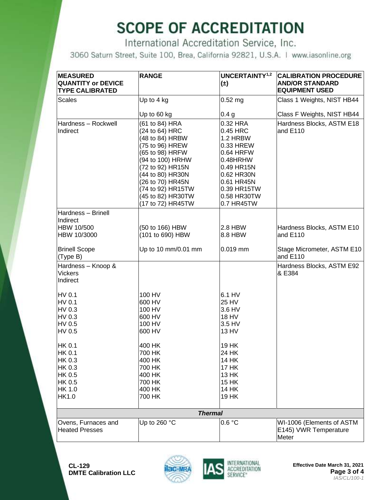## **SCOPE OF ACCREDITATION**

International Accreditation Service, Inc.

3060 Saturn Street, Suite 100, Brea, California 92821, U.S.A. | www.iasonline.org

| <b>MEASURED</b><br><b>QUANTITY or DEVICE</b><br><b>TYPE CALIBRATED</b> | <b>RANGE</b>                                                                                                                                                                                                                             | UNCERTAINTY <sup>1,2</sup><br>$(\pm)$                                                                                                                          | <b>CALIBRATION PROCEDURE</b><br><b>AND/OR STANDARD</b><br><b>EQUIPMENT USED</b> |  |
|------------------------------------------------------------------------|------------------------------------------------------------------------------------------------------------------------------------------------------------------------------------------------------------------------------------------|----------------------------------------------------------------------------------------------------------------------------------------------------------------|---------------------------------------------------------------------------------|--|
| <b>Scales</b>                                                          | Up to $4$ kg                                                                                                                                                                                                                             | $0.52$ mg                                                                                                                                                      | Class 1 Weights, NIST HB44                                                      |  |
|                                                                        | Up to 60 kg                                                                                                                                                                                                                              | 0.4 <sub>g</sub>                                                                                                                                               | Class F Weights, NIST HB44                                                      |  |
| Hardness - Rockwell<br>Indirect                                        | (61 to 84) HRA<br>(24 to 64) HRC<br>(48 to 84) HRBW<br>(75 to 96) HREW<br>(65 to 98) HRFW<br>(94 to 100) HRHW<br>(72 to 92) HR15N<br>(44 to 80) HR30N<br>(26 to 70) HR45N<br>(74 to 92) HR15TW<br>(45 to 82) HR30TW<br>(17 to 72) HR45TW | 0.32 HRA<br>$0.45$ HRC<br>1.2 HRBW<br>0.33 HREW<br>0.64 HRFW<br>0.48HRHW<br>0.49 HR15N<br>0.62 HR30N<br>0.61 HR45N<br>0.39 HR15TW<br>0.58 HR30TW<br>0.7 HR45TW | Hardness Blocks, ASTM E18<br>and E110                                           |  |
| Hardness - Brinell                                                     |                                                                                                                                                                                                                                          |                                                                                                                                                                |                                                                                 |  |
| Indirect                                                               |                                                                                                                                                                                                                                          |                                                                                                                                                                |                                                                                 |  |
| HBW 10/500<br>HBW 10/3000                                              | (50 to 166) HBW<br>(101 to 690) HBW                                                                                                                                                                                                      | $2.8$ HBW<br>8.8 HBW                                                                                                                                           | Hardness Blocks, ASTM E10<br>and E110                                           |  |
| <b>Brinell Scope</b><br>(Type B)                                       | Up to 10 mm/0.01 mm                                                                                                                                                                                                                      | $0.019$ mm                                                                                                                                                     | Stage Micrometer, ASTM E10<br>and E110                                          |  |
| Hardness - Knoop &<br><b>Vickers</b><br>Indirect                       |                                                                                                                                                                                                                                          |                                                                                                                                                                | Hardness Blocks, ASTM E92<br>& E384                                             |  |
| HV 0.1<br>HV 0.1<br>HV 0.3<br>HV 0.3<br>HV 0.5<br>HV 0.5               | 100 HV<br>600 HV<br>100 HV<br>600 HV<br>100 HV<br>600 HV                                                                                                                                                                                 | 6.1 HV<br><b>25 HV</b><br>3.6 HV<br><b>18 HV</b><br>3.5 HV<br>13 HV                                                                                            |                                                                                 |  |
| HK 0.1<br><b>HK 0.1</b><br>HK 0.3                                      | 400 HK<br>700 HK<br>400 HK                                                                                                                                                                                                               | 19 HK<br>24 HK<br><b>14 HK</b>                                                                                                                                 |                                                                                 |  |
| <b>HK 0.3</b>                                                          | 700 HK                                                                                                                                                                                                                                   | <b>17 HK</b>                                                                                                                                                   |                                                                                 |  |
| <b>HK 0.5</b>                                                          | 400 HK                                                                                                                                                                                                                                   | <b>13 HK</b>                                                                                                                                                   |                                                                                 |  |
| HK 0.5                                                                 | 700 HK                                                                                                                                                                                                                                   | 15 HK                                                                                                                                                          |                                                                                 |  |
| <b>HK 1.0</b><br>HK1.0                                                 | 400 HK<br>700 HK                                                                                                                                                                                                                         | 14 HK<br>19 HK                                                                                                                                                 |                                                                                 |  |
| <b>Thermal</b>                                                         |                                                                                                                                                                                                                                          |                                                                                                                                                                |                                                                                 |  |
| Ovens, Furnaces and<br><b>Heated Presses</b>                           | Up to 260 °C                                                                                                                                                                                                                             | 0.6 °C                                                                                                                                                         | WI-1006 (Elements of ASTM<br>E145) VWR Temperature<br>Meter                     |  |